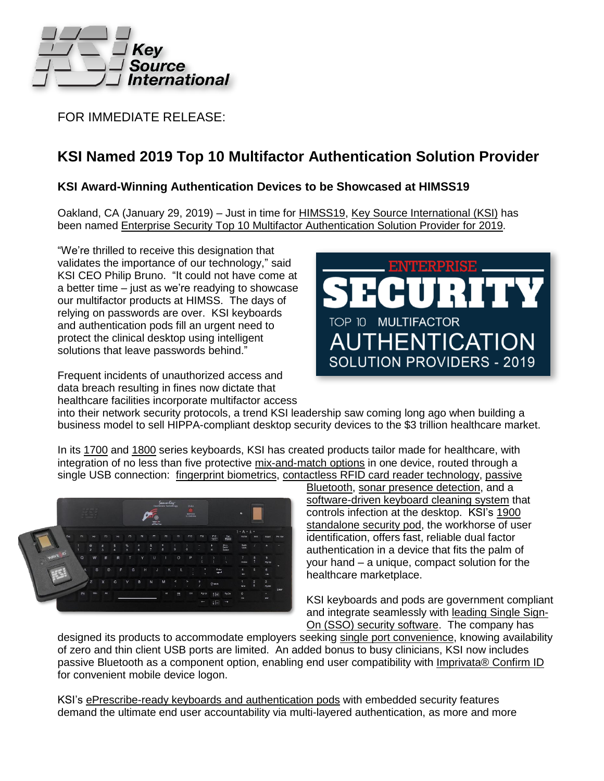

FOR IMMEDIATE RELEASE:

## **KSI Named 2019 Top 10 Multifactor Authentication Solution Provider**

## **KSI Award-Winning Authentication Devices to be Showcased at HIMSS19**

Oakland, CA (January 29, 2019) – Just in time for [HIMSS19,](https://www.himssconference.org/about/general-info/himss-global-conference-save-date) Key Source [International](http://ksikeyboards.com/) (KSI) has been named Enterprise Security Top 10 Multifactor [Authentication](https://www.enterprisesecuritymag.com/vendors/top-multifactor-authentication-solution-providers-2018.html) Solution Provider for 2019.

"We're thrilled to receive this designation that validates the importance of our technology," said KSI CEO Philip Bruno. "It could not have come at a better time – just as we're readying to showcase our multifactor products at HIMSS. The days of relying on passwords are over. KSI keyboards and authentication pods fill an urgent need to protect the clinical desktop using intelligent solutions that leave passwords behind."

Frequent incidents of unauthorized access and data breach resulting in fines now dictate that healthcare facilities incorporate multifactor access



into their network security protocols, a trend KSI leadership saw coming long ago when building a business model to sell HIPPA-compliant desktop security devices to the \$3 trillion healthcare market.

In its [1700](http://ksikeyboards.com/product-links/ksi-1700-series-medical-keyboards/) and [1800](http://ksikeyboards.com/product-links/ksi-1800-series-medical-keyboards/) series keyboards, KSI has created products tailor made for healthcare, with integration of no less than five protective [mix-and-match](http://ksikeyboards.com/features/) options in one device, routed through a single USB connection: fingerprint [biometrics,](http://ksikeyboards.com/features/fingerprint-biometrics/) contactless RFID card reader [technology,](http://ksikeyboards.com/features/rfid/) [passive](http://ksikeyboards.com/features/imprivata-confirm-id/)



[Bluetooth,](http://ksikeyboards.com/features/imprivata-confirm-id/) sonar presence [detection,](http://ksikeyboards.com/features/secure-sonar-logoff/) and a [software-driven](http://ksikeyboards.com/features/linksmart-powered-by-san-a-key/) keyboard cleaning system that controls infection at the desktop. KSI's [1900](http://ksikeyboards.com/product-links/ksi-standalone-security-pods/) [standalone](http://ksikeyboards.com/product-links/ksi-standalone-security-pods/) security pod, the workhorse of user identification, offers fast, reliable dual factor authentication in a device that fits the palm of your hand – a unique, compact solution for the healthcare marketplace.

KSI keyboards and pods are government compliant and integrate seamlessly with [leading](http://ksikeyboards.com/features/linksmart-powered-by-san-a-key/) Single Sign-On (SSO) security [software.](http://ksikeyboards.com/features/linksmart-powered-by-san-a-key/) The company has

designed its products to accommodate employers seeking single port [convenience,](http://ksikeyboards.com/single-port-convenience/) knowing availability of zero and thin client USB ports are limited. An added bonus to busy clinicians, KSI now includes passive Bluetooth as a component option, enabling end user compatibility with [Imprivata®](http://ksikeyboards.com/features/imprivata-confirm-id/) Confirm ID for convenient mobile device logon.

KSI's [ePrescribe-ready](http://ksikeyboards.com/features/epcs-and-i-stop-compliance/) keyboards and authentication pods with embedded security features demand the ultimate end user accountability via multi-layered authentication, as more and more